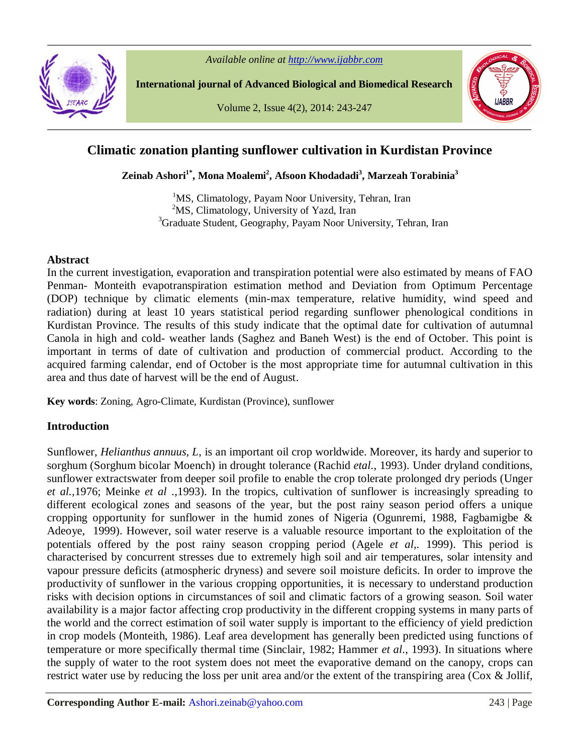

*Available online at http://www.ijabbr.com*

**International journal of Advanced Biological and Biomedical Research**

Volume 2, Issue 4(2), 2014: 243-247



# **Climatic zonation planting sunflower cultivation in Kurdistan Province**

**Zeinab Ashori1\* , Mona Moalemi<sup>2</sup> , Afsoon Khodadadi<sup>3</sup> , Marzeah Torabinia<sup>3</sup>**

<sup>1</sup>MS, Climatology, Payam Noor University, Tehran, Iran  $2<sup>2</sup>MS$ , Climatology, University of Yazd, Iran <sup>3</sup>Graduate Student, Geography, Payam Noor University, Tehran, Iran

#### **Abstract**

In the current investigation, evaporation and transpiration potential were also estimated by means of FAO Penman- Monteith evapotranspiration estimation method and Deviation from Optimum Percentage (DOP) technique by climatic elements (min-max temperature, relative humidity, wind speed and radiation) during at least 10 years statistical period regarding sunflower phenological conditions in Kurdistan Province. The results of this study indicate that the optimal date for cultivation of autumnal Canola in high and cold- weather lands (Saghez and Baneh West) is the end of October. This point is important in terms of date of cultivation and production of commercial product. According to the acquired farming calendar, end of October is the most appropriate time for autumnal cultivation in this area and thus date of harvest will be the end of August.

**Key words**: Zoning, Agro-Climate, Kurdistan (Province), sunflower

# **Introduction**

Sunflower, *Helianthus annuus, L*, is an important oil crop worldwide. Moreover, its hardy and superior to sorghum (Sorghum bicolar Moench) in drought tolerance (Rachid *etal*., 1993). Under dryland conditions, sunflower extractswater from deeper soil profile to enable the crop tolerate prolonged dry periods (Unger *et al.,*1976; Meinke *et al* .,1993). In the tropics, cultivation of sunflower is increasingly spreading to different ecological zones and seasons of the year, but the post rainy season period offers a unique cropping opportunity for sunflower in the humid zones of Nigeria (Ogunremi, 1988, Fagbamigbe & Adeoye, 1999). However, soil water reserve is a valuable resource important to the exploitation of the potentials offered by the post rainy season cropping period (Agele *et al,.* 1999). This period is characterised by concurrent stresses due to extremely high soil and air temperatures, solar intensity and vapour pressure deficits (atmospheric dryness) and severe soil moisture deficits. In order to improve the productivity of sunflower in the various cropping opportunities, it is necessary to understand production risks with decision options in circumstances of soil and climatic factors of a growing season. Soil water availability is a major factor affecting crop productivity in the different cropping systems in many parts of the world and the correct estimation of soil water supply is important to the efficiency of yield prediction in crop models (Monteith, 1986). Leaf area development has generally been predicted using functions of temperature or more specifically thermal time (Sinclair, 1982; Hammer *et al*., 1993). In situations where the supply of water to the root system does not meet the evaporative demand on the canopy, crops can restrict water use by reducing the loss per unit area and/or the extent of the transpiring area (Cox & Jollif,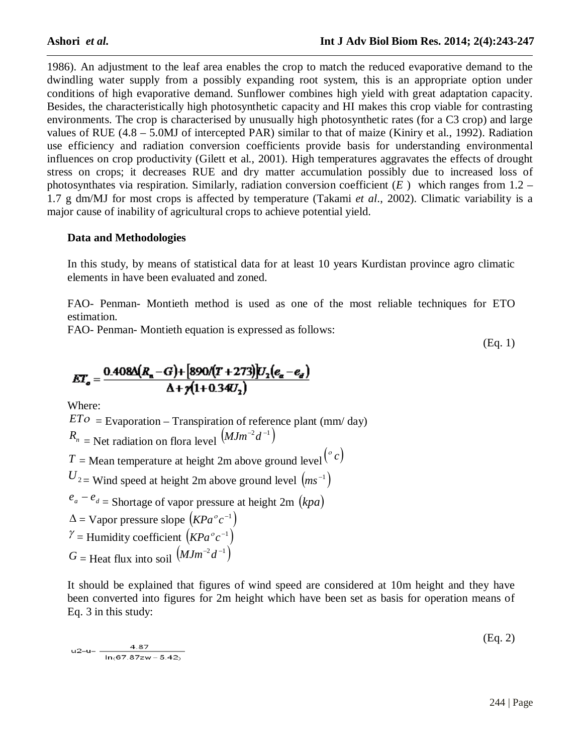1986). An adjustment to the leaf area enables the crop to match the reduced evaporative demand to the dwindling water supply from a possibly expanding root system, this is an appropriate option under conditions of high evaporative demand. Sunflower combines high yield with great adaptation capacity. Besides, the characteristically high photosynthetic capacity and HI makes this crop viable for contrasting environments. The crop is characterised by unusually high photosynthetic rates (for a C3 crop) and large values of RUE (4.8 – 5.0MJ of intercepted PAR) similar to that of maize (Kiniry et al., 1992). Radiation use efficiency and radiation conversion coefficients provide basis for understanding environmental influences on crop productivity (Gilett et al., 2001). High temperatures aggravates the effects of drought stress on crops; it decreases RUE and dry matter accumulation possibly due to increased loss of photosynthates via respiration. Similarly, radiation conversion coefficient (*E* ) which ranges from 1.2 – 1.7 g dm/MJ for most crops is affected by temperature (Takami *et al*., 2002). Climatic variability is a major cause of inability of agricultural crops to achieve potential yield.

# **Data and Methodologies**

In this study, by means of statistical data for at least 10 years Kurdistan province agro climatic elements in have been evaluated and zoned.

FAO- Penman- Montieth method is used as one of the most reliable techniques for ETO estimation.

FAO- Penman- Montieth equation is expressed as follows:

(Eq. 1)

$$
ET_{a} = \frac{0.408\Delta(R_{a}-G) + [890/(T+273)]U_{2}(e_{a}-e_{a})}{\Delta + \gamma(1+0.34U_{2})}
$$

Where:

 $ETO =$  Evaporation – Transpiration of reference plant (mm/day)  $R_n$  = Net radiation on flora level  $(MJm^{-2}d^{-1})$ *T* = Mean temperature at height 2m above ground level  $\binom{e}{c}$  $U_{2}$  = Wind speed at height 2m above ground level  $(ms^{-1})$  $e_a - e_d$  = Shortage of vapor pressure at height 2m *(kpa)*  $\Delta$  = Vapor pressure slope  $(KPa^{\circ}c^{-1})$  $\gamma =$  Humidity coefficient  $(KPa^{\circ}c^{-1})$  $G =$  Heat flux into soil  $(MJm^{-2}d^{-1})$ 

It should be explained that figures of wind speed are considered at 10m height and they have been converted into figures for 2m height which have been set as basis for operation means of Eq. 3 in this study:

$$
u2-u = \frac{4.87}{\ln(67.87zw - 5.42)}
$$
 (Lq. 2)

 $(E_{\alpha}, \gamma)$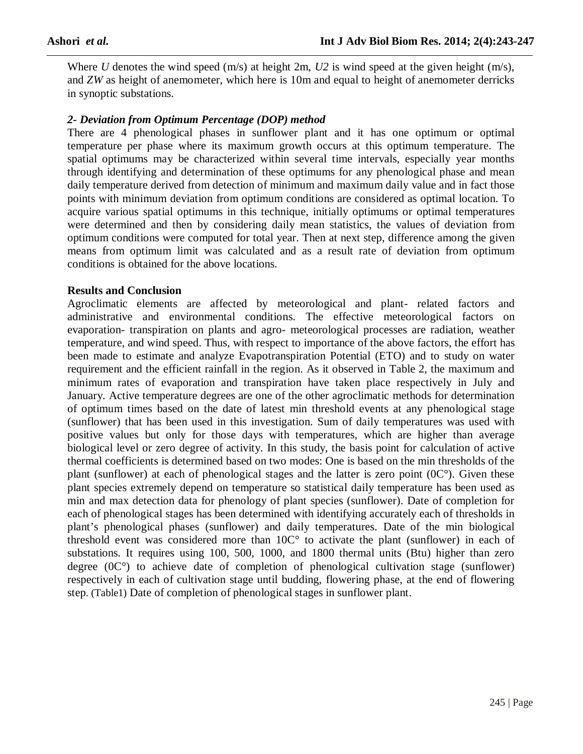Where *U* denotes the wind speed (m/s) at height 2m, *U2* is wind speed at the given height (m/s), and *ZW* as height of anemometer, which here is 10m and equal to height of anemometer derricks in synoptic substations.

# *2- Deviation from Optimum Percentage (DOP) method*

There are 4 phenological phases in sunflower plant and it has one optimum or optimal temperature per phase where its maximum growth occurs at this optimum temperature. The spatial optimums may be characterized within several time intervals, especially year months through identifying and determination of these optimums for any phenological phase and mean daily temperature derived from detection of minimum and maximum daily value and in fact those points with minimum deviation from optimum conditions are considered as optimal location. To acquire various spatial optimums in this technique, initially optimums or optimal temperatures were determined and then by considering daily mean statistics, the values of deviation from optimum conditions were computed for total year. Then at next step, difference among the given means from optimum limit was calculated and as a result rate of deviation from optimum conditions is obtained for the above locations.

# **Results and Conclusion**

Agroclimatic elements are affected by meteorological and plant- related factors and administrative and environmental conditions. The effective meteorological factors on evaporation- transpiration on plants and agro- meteorological processes are radiation, weather temperature, and wind speed. Thus, with respect to importance of the above factors, the effort has been made to estimate and analyze Evapotranspiration Potential (ETO) and to study on water requirement and the efficient rainfall in the region. As it observed in Table 2, the maximum and minimum rates of evaporation and transpiration have taken place respectively in July and January. Active temperature degrees are one of the other agroclimatic methods for determination of optimum times based on the date of latest min threshold events at any phenological stage (sunflower) that has been used in this investigation. Sum of daily temperatures was used with positive values but only for those days with temperatures, which are higher than average biological level or zero degree of activity. In this study, the basis point for calculation of active thermal coefficients is determined based on two modes: One is based on the min thresholds of the plant (sunflower) at each of phenological stages and the latter is zero point (0C°). Given these plant species extremely depend on temperature so statistical daily temperature has been used as min and max detection data for phenology of plant species (sunflower). Date of completion for each of phenological stages has been determined with identifying accurately each of thresholds in plant's phenological phases (sunflower) and daily temperatures. Date of the min biological threshold event was considered more than 10C° to activate the plant (sunflower) in each of substations. It requires using 100, 500, 1000, and 1800 thermal units (Btu) higher than zero degree (0C°) to achieve date of completion of phenological cultivation stage (sunflower) respectively in each of cultivation stage until budding, flowering phase, at the end of flowering step. (Table1) Date of completion of phenological stages in sunflower plant.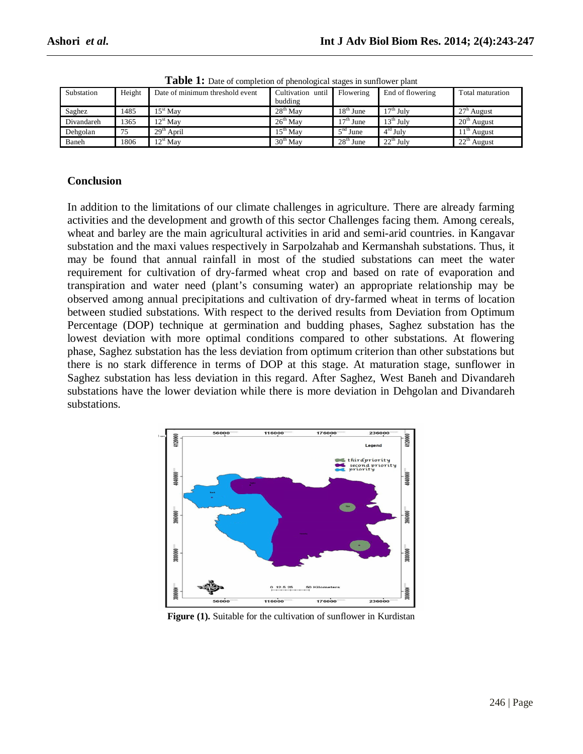| Substation | Height | Date of minimum threshold event | Cultivation until<br>budding | Flowering   | End of flowering       | Total maturation |
|------------|--------|---------------------------------|------------------------------|-------------|------------------------|------------------|
| Saghez     | 1485   | $15^{\rm st}$ Mav               | $28th$ May                   | $18th$ June | l 7 <sup>th</sup> July | $27h$ August     |
| Divandareh | 1365   | $12st$ May                      | $26th$ May                   | $17th$ June | $13^{\text{th}}$ July  | $20th$ August    |
| Dehgolan   | 75     | $29th$ April                    | $15^{th}$ May                | $5nd$ June  | $4rd$ July             | $11th$ August    |
| Baneh      | 1806   | $12st$ May                      | $30th$ May                   | $28th$ June | $22th$ July            | $22th$ August    |

Table 1: Date of completion of phenological stages in sunflower plant

#### **Conclusion**

In addition to the limitations of our climate challenges in agriculture. There are already farming activities and the development and growth of this sector Challenges facing them. Among cereals, wheat and barley are the main agricultural activities in arid and semi-arid countries. in Kangavar substation and the maxi values respectively in Sarpolzahab and Kermanshah substations. Thus, it may be found that annual rainfall in most of the studied substations can meet the water requirement for cultivation of dry-farmed wheat crop and based on rate of evaporation and transpiration and water need (plant's consuming water) an appropriate relationship may be observed among annual precipitations and cultivation of dry-farmed wheat in terms of location between studied substations. With respect to the derived results from Deviation from Optimum Percentage (DOP) technique at germination and budding phases, Saghez substation has the lowest deviation with more optimal conditions compared to other substations. At flowering phase, Saghez substation has the less deviation from optimum criterion than other substations but there is no stark difference in terms of DOP at this stage. At maturation stage, sunflower in Saghez substation has less deviation in this regard. After Saghez, West Baneh and Divandareh substations have the lower deviation while there is more deviation in Dehgolan and Divandareh substations.



**Figure (1).** Suitable for the cultivation of sunflower in Kurdistan